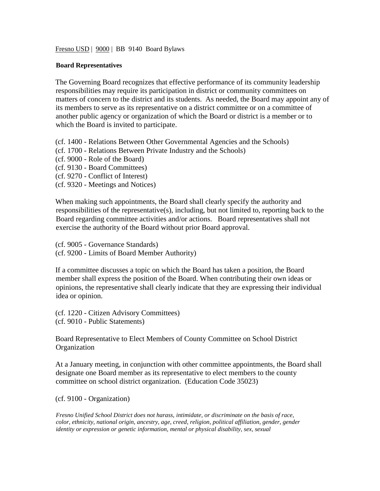Fresno USD | 9000 | BB 9140 Board Bylaws

## **Board Representatives**

The Governing Board recognizes that effective performance of its community leadership responsibilities may require its participation in district or community committees on matters of concern to the district and its students. As needed, the Board may appoint any of its members to serve as its representative on a district committee or on a committee of another public agency or organization of which the Board or district is a member or to which the Board is invited to participate.

(cf. 1400 - Relations Between Other Governmental Agencies and the Schools)

- (cf. 1700 Relations Between Private Industry and the Schools)
- (cf. 9000 Role of the Board)
- (cf. 9130 Board Committees)
- (cf. 9270 Conflict of Interest)
- (cf. 9320 Meetings and Notices)

When making such appointments, the Board shall clearly specify the authority and responsibilities of the representative(s), including, but not limited to, reporting back to the Board regarding committee activities and/or actions. Board representatives shall not exercise the authority of the Board without prior Board approval.

(cf. 9005 - Governance Standards) (cf. 9200 - Limits of Board Member Authority)

If a committee discusses a topic on which the Board has taken a position, the Board member shall express the position of the Board. When contributing their own ideas or opinions, the representative shall clearly indicate that they are expressing their individual idea or opinion.

(cf. 1220 - Citizen Advisory Committees) (cf. 9010 - Public Statements)

Board Representative to Elect Members of County Committee on School District Organization

At a January meeting, in conjunction with other committee appointments, the Board shall designate one Board member as its representative to elect members to the county committee on school district organization. (Education Code 35023)

(cf. 9100 - Organization)

*Fresno Unified School District does not harass, intimidate, or discriminate on the basis of race, color, ethnicity, national origin, ancestry, age, creed, religion, political affiliation, gender, gender identity or expression or genetic information, mental or physical disability, sex, sexual*